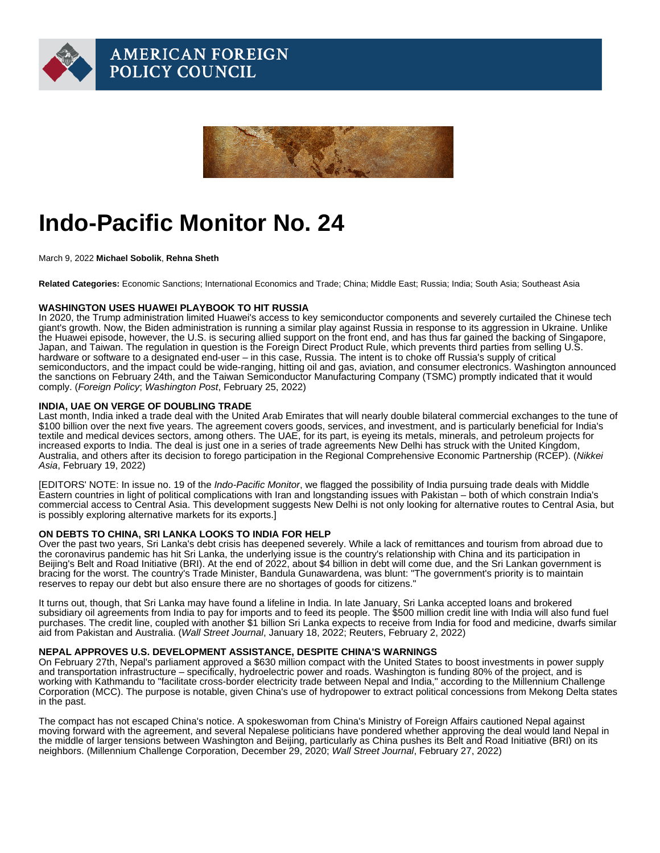# Indo-Pacific Monitor No. 24

March 9, 2022 Michael Sobolik , Rehna Sheth

Related Categories: Economic Sanctions; International Economics and Trade; China; Middle East; Russia; India; South Asia; Southeast Asia

## WASHINGTON USES HUAWEI PLAYBOOK TO HIT RUSSIA

In 2020, the Trump administration limited Huawei's access to key semiconductor components and severely curtailed the Chinese tech giant's growth. Now, the Biden administration is running a similar play against Russia in response to its aggression in Ukraine. Unlike the Huawei episode, however, the U.S. is securing allied support on the front end, and has thus far gained the backing of Singapore, Japan, and Taiwan. The regulation in question is the Foreign Direct Product Rule, which prevents third parties from selling U.S. hardware or software to a designated end-user – in this case. Russia. The intent is to choke off Russia's supply of critical semiconductors, and the impact could be wide-ranging, hitting oil and gas, aviation, and consumer electronics. Washington announced the sanctions on February 24th, and the Taiwan Semiconductor Manufacturing Company (TSMC) promptly indicated that it would comply. ([Foreign Policy;](https://foreignpolicy.com/2022/02/22/biden-russia-ukraine-sanctions-asia-allies-export-controls-invasion-plans/) [Washington Post,](https://www.washingtonpost.com/technology/2022/02/25/ukraine-russia-chips-sanctions-tsmc/) February 25, 2022)

## INDIA, UAE ON VERGE OF DOUBLING TRADE

Last month, India inked a trade deal with the United Arab Emirates that will nearly double bilateral commercial exchanges to the tune of \$100 billion over the next five years. The agreement covers goods, services, and investment, and is particularly beneficial for India's textile and medical devices sectors, among others. The UAE, for its part, is eyeing its metals, minerals, and petroleum projects for increased exports to India. The deal is just one in a series of trade agreements New Delhi has struck with the United Kingdom, Australia, and others after its decision to forego participation in the Regional Comprehensive Economic Partnership (RCEP). [\(Nikkei](https://asia.nikkei.com/Politics/International-relations/India-inks-free-trade-deal-with-UAE-eyeing-100bn-in-trade)  [Asia,](https://asia.nikkei.com/Politics/International-relations/India-inks-free-trade-deal-with-UAE-eyeing-100bn-in-trade) February 19, 2022)

[EDITORS' NOTE: In issue no. 19 of the Indo-Pacific Monitor, we flagged the possibility of India pursuing trade deals with Middle Eastern countries in light of political complications with Iran and longstanding issues with Pakistan – both of which constrain India's commercial access to Central Asia. This development suggests New Delhi is not only looking for alternative routes to Central Asia, but is possibly exploring alternative markets for its exports.]

#### ON DEBTS TO CHINA, SRI LANKA LOOKS TO INDIA FOR HELP

Over the past two years, Sri Lanka's debt crisis has deepened severely. While a lack of remittances and tourism from abroad due to the coronavirus pandemic has hit Sri Lanka, the underlying issue is the country's relationship with China and its participation in Beijing's Belt and Road Initiative (BRI). At the end of 2022, about \$4 billion in debt will come due, and the Sri Lankan government is bracing for the worst. The country's Trade Minister, Bandula Gunawardena, was blunt: "The government's priority is to maintain reserves to repay our debt but also ensure there are no shortages of goods for citizens."

It turns out, though, that Sri Lanka may have found a lifeline in India. In late January, Sri Lanka accepted loans and brokered subsidiary oil agreements from India to pay for imports and to feed its people. The \$500 million credit line with India will also fund fuel purchases. The credit line, coupled with another \$1 billion Sri Lanka expects to receive from India for food and medicine, dwarfs similar aid from Pakistan and Australia. ([Wall Street Journal,](https://www.wsj.com/articles/deepening-debt-crisis-in-sri-lanka-stokes-controversy-over-chinese-lending-11642514503) January 18, 2022; [Reuters,](https://www.reuters.com/business/energy/sri-lanka-signs-500-mln-credit-line-fuel-with-india-2022-02-02/) February 2, 2022)

# NEPAL APPROVES U.S. DEVELOPMENT ASSISTANCE, DESPITE CHINA'S WARNINGS

On February 27th, Nepal's parliament approved a \$630 million compact with the United States to boost investments in power supply and transportation infrastructure – specifically, hydroelectric power and roads. Washington is funding 80% of the project, and is working with Kathmandu to "facilitate cross-border electricity trade between Nepal and India," according to the Millennium Challenge Corporation (MCC). The purpose is notable, given China's use of hydropower to extract political concessions from Mekong Delta states in the past.

The compact has not escaped China's notice. A spokeswoman from China's Ministry of Foreign Affairs cautioned Nepal against moving forward with the agreement, and several Nepalese politicians have pondered whether approving the deal would land Nepal in the middle of larger tensions between Washington and Beijing, particularly as China pushes its Belt and Road Initiative (BRI) on its neighbors. ([Millennium Challenge Corporation](https://www.mcc.gov/where-we-work/program/nepal-compact), December 29, 2020; [Wall Street Journal](https://www.wsj.com/articles/nepal-parliament-approves-500-million-in-u-s-aid-despite-chinas-objections-11645998357), February 27, 2022)